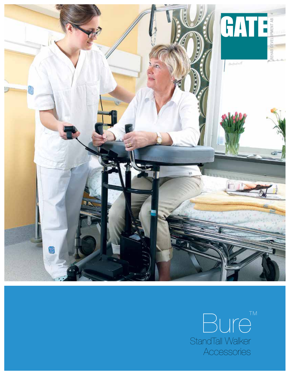